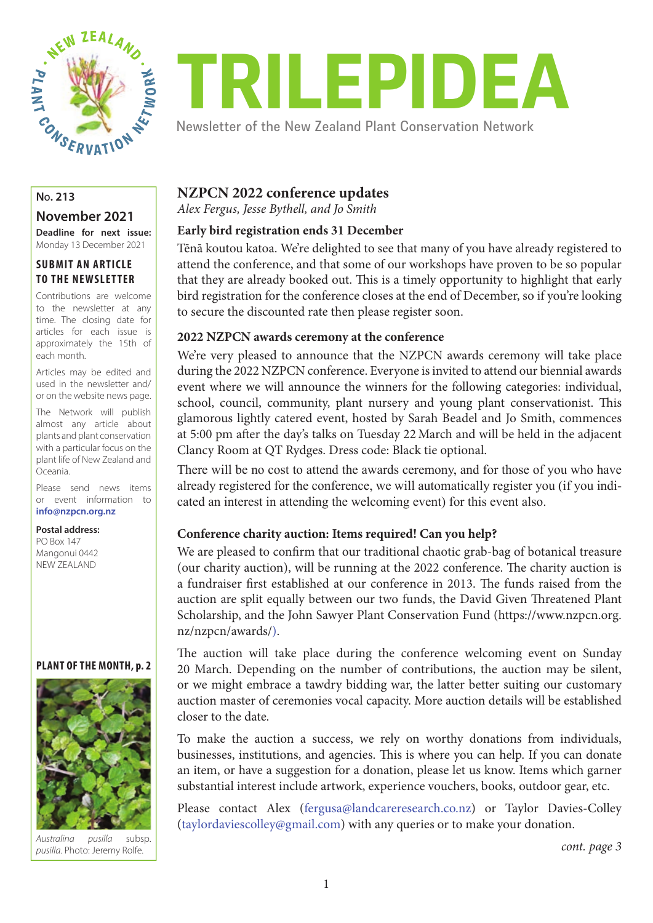

# TRILEPIDEA

Newsletter of the New Zealand Plant Conservation Network

# **November 2021**

**Deadline for next issue:**  Monday 13 December 2021

# **SUBMIT AN ARTICLE TO THE NEWSLETTER**

Contributions are welcome to the newsletter at any time. The closing date for articles for each issue is approximately the 15th of each month.

Articles may be edited and used in the newsletter and/ or on the website news page.

The Network will publish almost any article about plants and plant conservation with a particular focus on the plant life of New Zealand and Oceania.

Please send news items or event information to **info@nzpcn.org.nz**

#### **Postal address:**

PO Box 147 Mangonui 0442 NEW ZEALAND

#### **PLANT OF THE MONTH, p. 2**



*Australina pusilla* subsp. *pusilla*. Photo: Jeremy Rolfe.

# **NZPCN 2022 conference updates**

*Alex Fergus, Jesse Bythell, and Jo Smith*

# **Early bird registration ends 31 December**

Tēnā koutou katoa. We're delighted to see that many of you have already registered to attend the conference, and that some of our workshops have proven to be so popular that they are already booked out. This is a timely opportunity to highlight that early bird registration for the conference closes at the end of December, so if you're looking to secure the discounted rate then please register soon.

## **2022 NZPCN awards ceremony at the conference**

We're very pleased to announce that the NZPCN awards ceremony will take place during the 2022 NZPCN conference. Everyone is invited to attend our biennial awards event where we will announce the winners for the following categories: individual, school, council, community, plant nursery and young plant conservationist. This glamorous lightly catered event, hosted by Sarah Beadel and Jo Smith, commences at 5:00 pm after the day's talks on Tuesday 22 March and will be held in the adjacent Clancy Room at QT Rydges. Dress code: Black tie optional.

There will be no cost to attend the awards ceremony, and for those of you who have already registered for the conference, we will automatically register you (if you indicated an interest in attending the welcoming event) for this event also.

# **Conference charity auction: Items required! Can you help?**

We are pleased to confirm that our traditional chaotic grab-bag of botanical treasure (our charity auction), will be running at the 2022 conference. The charity auction is a fundraiser first established at our conference in 2013. The funds raised from the auction are split equally between our two funds, the David Given Threatened Plant Scholarship, and the John Sawyer Plant Conservation Fund (https://www.nzpcn.org. nz/nzpcn/awards/).

The auction will take place during the conference welcoming event on Sunday 20 March. Depending on the number of contributions, the auction may be silent, or we might embrace a tawdry bidding war, the latter better suiting our customary auction master of ceremonies vocal capacity. More auction details will be established closer to the date.

To make the auction a success, we rely on worthy donations from individuals, businesses, institutions, and agencies. This is where you can help. If you can donate an item, or have a suggestion for a donation, please let us know. Items which garner substantial interest include artwork, experience vouchers, books, outdoor gear, etc.

Please contact Alex (fergusa@landcareresearch.co.nz) or Taylor Davies-Colley (taylordaviescolley@gmail.com) with any queries or to make your donation.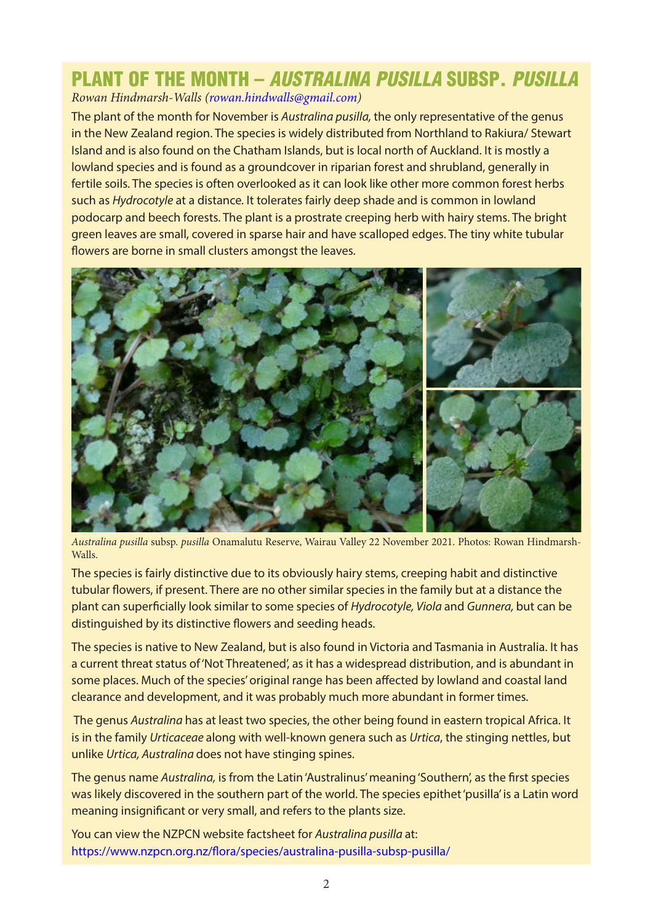# PLANT OF THE MONTH – AUSTRALINA PUSILLA SUBSP. PUSILLA

*Rowan Hindmarsh-Walls ([rowan.hindwalls@gmail.com\)](mailto:rowan.hindwalls@gmail.com)* 

The plant of the month for November is *Australina pusilla,* the only representative of the genus in the New Zealand region. The species is widely distributed from Northland to Rakiura/ Stewart Island and is also found on the Chatham Islands, but is local north of Auckland. It is mostly a lowland species and is found as a groundcover in riparian forest and shrubland, generally in fertile soils. The species is often overlooked as it can look like other more common forest herbs such as *Hydrocotyle* at a distance*.* It tolerates fairly deep shade and is common in lowland podocarp and beech forests. The plant is a prostrate creeping herb with hairy stems. The bright green leaves are small, covered in sparse hair and have scalloped edges. The tiny white tubular flowers are borne in small clusters amongst the leaves.



*Australina pusilla* subsp. *pusilla* Onamalutu Reserve, Wairau Valley 22 November 2021. Photos: Rowan Hindmarsh-Walls.

The species is fairly distinctive due to its obviously hairy stems, creeping habit and distinctive tubular flowers, if present. There are no other similar species in the family but at a distance the plant can superficially look similar to some species of *Hydrocotyle, Viola* and *Gunnera,* but can be distinguished by its distinctive flowers and seeding heads.

The species is native to New Zealand, but is also found in Victoria and Tasmania in Australia. It has a current threat status of 'Not Threatened', as it has a widespread distribution, and is abundant in some places. Much of the species' original range has been affected by lowland and coastal land clearance and development, and it was probably much more abundant in former times.

 The genus *Australina* has at least two species, the other being found in eastern tropical Africa. It is in the family *Urticaceae* along with well-known genera such as *Urtica*, the stinging nettles, but unlike *Urtica, Australina* does not have stinging spines.

The genus name *Australina,* is from the Latin 'Australinus' meaning 'Southern', as the first species was likely discovered in the southern part of the world. The species epithet 'pusilla' is a Latin word meaning insignificant or very small, and refers to the plants size.

You can view the NZPCN website factsheet for *Australina pusilla* at: <https://www.nzpcn.org.nz/flora/species/australina-pusilla-subsp-pusilla/>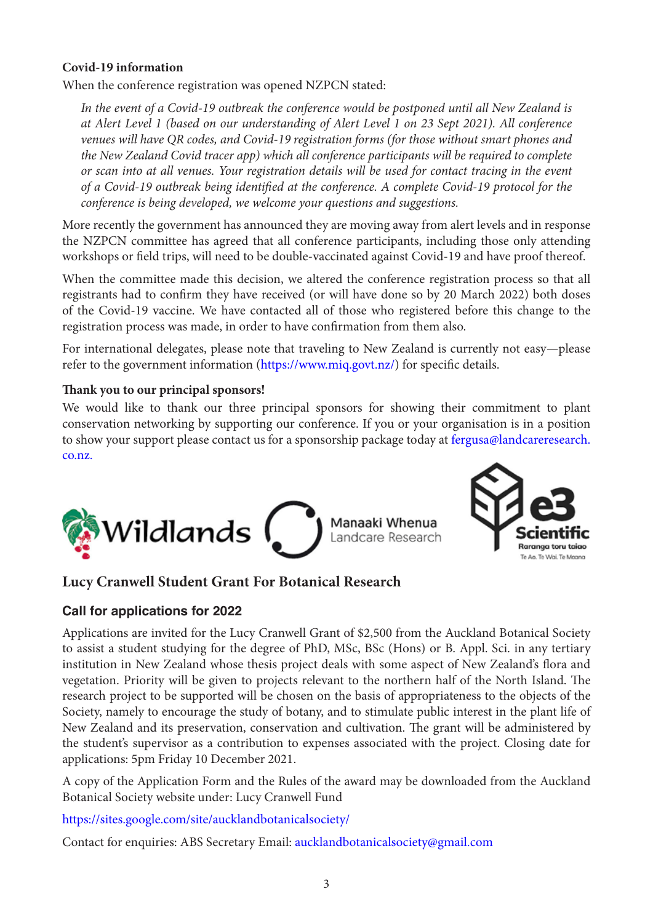# **Covid-19 information**

When the conference registration was opened NZPCN stated:

*In the event of a Covid-19 outbreak the conference would be postponed until all New Zealand is at Alert Level 1 (based on our understanding of Alert Level 1 on 23 Sept 2021). All conference venues will have QR codes, and Covid-19 registration forms (for those without smart phones and the New Zealand Covid tracer app) which all conference participants will be required to complete or scan into at all venues. Your registration details will be used for contact tracing in the event of a Covid-19 outbreak being identified at the conference. A complete Covid-19 protocol for the conference is being developed, we welcome your questions and suggestions.*

More recently the government has announced they are moving away from alert levels and in response the NZPCN committee has agreed that all conference participants, including those only attending workshops or field trips, will need to be double-vaccinated against Covid-19 and have proof thereof.

When the committee made this decision, we altered the conference registration process so that all registrants had to confirm they have received (or will have done so by 20 March 2022) both doses of the Covid-19 vaccine. We have contacted all of those who registered before this change to the registration process was made, in order to have confirmation from them also.

For international delegates, please note that traveling to New Zealand is currently not easy—please refer to the government information ([https://www.miq.govt.nz/\)](https://www.miq.govt.nz/) for specific details.

# **Thank you to our principal sponsors!**

We would like to thank our three principal sponsors for showing their commitment to plant conservation networking by supporting our conference. If you or your organisation is in a position to show your support please contact us for a sponsorship package today at [fergusa@landcareresearch.](mailto:fergusa@landcareresearch.co.nz) [co.nz.](mailto:fergusa@landcareresearch.co.nz)





# **Lucy Cranwell Student Grant For Botanical Research**

# **Call for applications for 2022**

Applications are invited for the Lucy Cranwell Grant of \$2,500 from the Auckland Botanical Society to assist a student studying for the degree of PhD, MSc, BSc (Hons) or B. Appl. Sci. in any tertiary institution in New Zealand whose thesis project deals with some aspect of New Zealand's flora and vegetation. Priority will be given to projects relevant to the northern half of the North Island. The research project to be supported will be chosen on the basis of appropriateness to the objects of the Society, namely to encourage the study of botany, and to stimulate public interest in the plant life of New Zealand and its preservation, conservation and cultivation. The grant will be administered by the student's supervisor as a contribution to expenses associated with the project. Closing date for applications: 5pm Friday 10 December 2021.

A copy of the Application Form and the Rules of the award may be downloaded from the Auckland Botanical Society website under: Lucy Cranwell Fund

<https://sites.google.com/site/aucklandbotanicalsociety/>

Contact for enquiries: ABS Secretary Email: [aucklandbotanicalsociety@gmail.com](mailto:aucklandbotanicalsociety@gmail.com)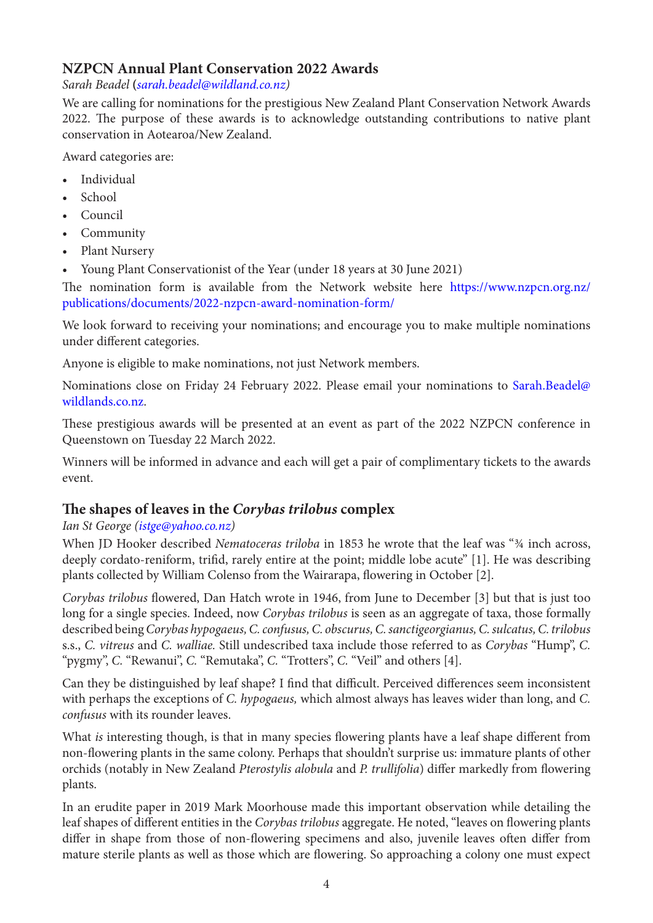# **NZPCN Annual Plant Conservation 2022 Awards**

*Sarah Beadel* **(***[sarah.beadel@wildland.co.nz](mailto:sarah.beadel@wildland.co.nz))*

We are calling for nominations for the prestigious New Zealand Plant Conservation Network Awards 2022. The purpose of these awards is to acknowledge outstanding contributions to native plant conservation in Aotearoa/New Zealand.

Award categories are:

- Individual
- School
- Council
- Community
- Plant Nursery
- Young Plant Conservationist of the Year (under 18 years at 30 June 2021)

The nomination form is available from the Network website here [https://www.nzpcn.org.nz/](https://www.nzpcn.org.nz/publications/documents/2022-nzpcn-award-nomination-form/) [publications/documents/2022-nzpcn-award-nomination-form/](https://www.nzpcn.org.nz/publications/documents/2022-nzpcn-award-nomination-form/)

We look forward to receiving your nominations; and encourage you to make multiple nominations under different categories.

Anyone is eligible to make nominations, not just Network members.

Nominations close on Friday 24 February 2022. Please email your nominations to [Sarah.Beadel@](mailto:Sarah.Beadel@wildlands.co.nz) [wildlands.co.nz](mailto:Sarah.Beadel@wildlands.co.nz).

These prestigious awards will be presented at an event as part of the 2022 NZPCN conference in Queenstown on Tuesday 22 March 2022.

Winners will be informed in advance and each will get a pair of complimentary tickets to the awards event.

# **The shapes of leaves in the** *Corybas trilobus* **complex**

# *Ian St George [\(istge@yahoo.co.nz](mailto:istge@yahoo.co.nz))*

When JD Hooker described *Nematoceras triloba* in 1853 he wrote that the leaf was "¾ inch across, deeply cordato-reniform, trifid, rarely entire at the point; middle lobe acute" [1]. He was describing plants collected by William Colenso from the Wairarapa, flowering in October [2].

*Corybas trilobus* flowered, Dan Hatch wrote in 1946, from June to December [3] but that is just too long for a single species. Indeed, now *Corybas trilobus* is seen as an aggregate of taxa, those formally described being *Corybas hypogaeus, C. confusus, C. obscurus, C. sanctigeorgianus, C. sulcatus, C. trilobus*  s.s., *C. vitreus* and *C. walliae.* Still undescribed taxa include those referred to as *Corybas* "Hump", *C.*  "pygmy", *C.* "Rewanui", *C.* "Remutaka", *C.* "Trotters", *C.* "Veil" and others [4].

Can they be distinguished by leaf shape? I find that difficult. Perceived differences seem inconsistent with perhaps the exceptions of *C. hypogaeus,* which almost always has leaves wider than long, and *C. confusus* with its rounder leaves.

What *is* interesting though, is that in many species flowering plants have a leaf shape different from non-flowering plants in the same colony. Perhaps that shouldn't surprise us: immature plants of other orchids (notably in New Zealand *Pterostylis alobula* and *P. trullifolia*) differ markedly from flowering plants.

In an erudite paper in 2019 Mark Moorhouse made this important observation while detailing the leaf shapes of different entities in the *Corybas trilobus* aggregate. He noted, "leaves on flowering plants differ in shape from those of non-flowering specimens and also, juvenile leaves often differ from mature sterile plants as well as those which are flowering. So approaching a colony one must expect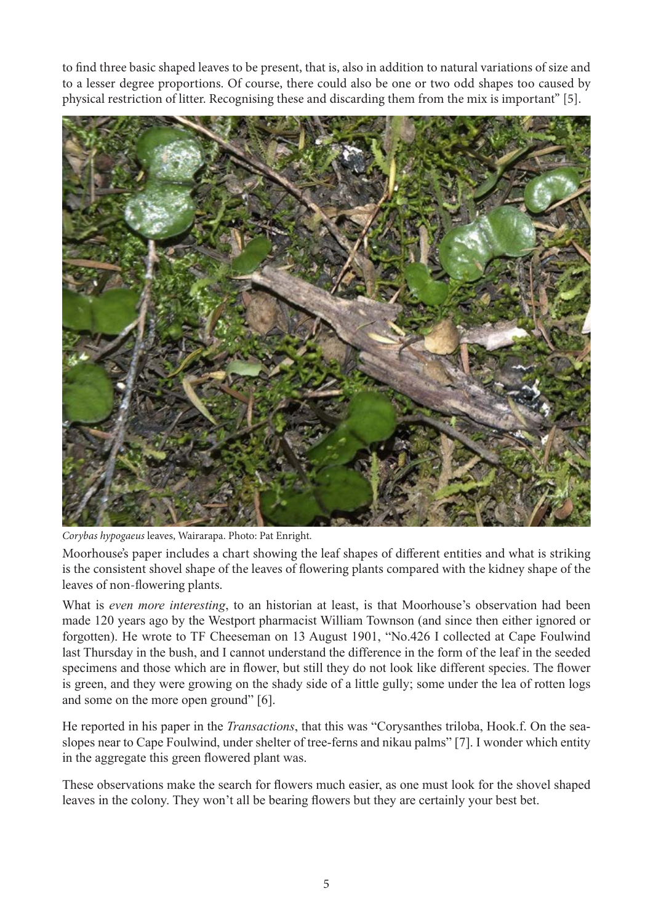to find three basic shaped leaves to be present, that is, also in addition to natural variations of size and to a lesser degree proportions. Of course, there could also be one or two odd shapes too caused by physical restriction of litter. Recognising these and discarding them from the mix is important" [5].



*Corybas hypogaeus* leaves, Wairarapa. Photo: Pat Enright.

Moorhouse's paper includes a chart showing the leaf shapes of different entities and what is striking is the consistent shovel shape of the leaves of flowering plants compared with the kidney shape of the leaves of non-flowering plants.

What is *even more interesting*, to an historian at least, is that Moorhouse's observation had been made 120 years ago by the Westport pharmacist William Townson (and since then either ignored or forgotten). He wrote to TF Cheeseman on 13 August 1901, "No.426 I collected at Cape Foulwind last Thursday in the bush, and I cannot understand the difference in the form of the leaf in the seeded specimens and those which are in flower, but still they do not look like different species. The flower is green, and they were growing on the shady side of a little gully; some under the lea of rotten logs and some on the more open ground" [6].

He reported in his paper in the *Transactions*, that this was "Corysanthes triloba, Hook.f. On the seaslopes near to Cape Foulwind, under shelter of tree-ferns and nikau palms" [7]. I wonder which entity in the aggregate this green flowered plant was.

These observations make the search for flowers much easier, as one must look for the shovel shaped leaves in the colony. They won't all be bearing flowers but they are certainly your best bet.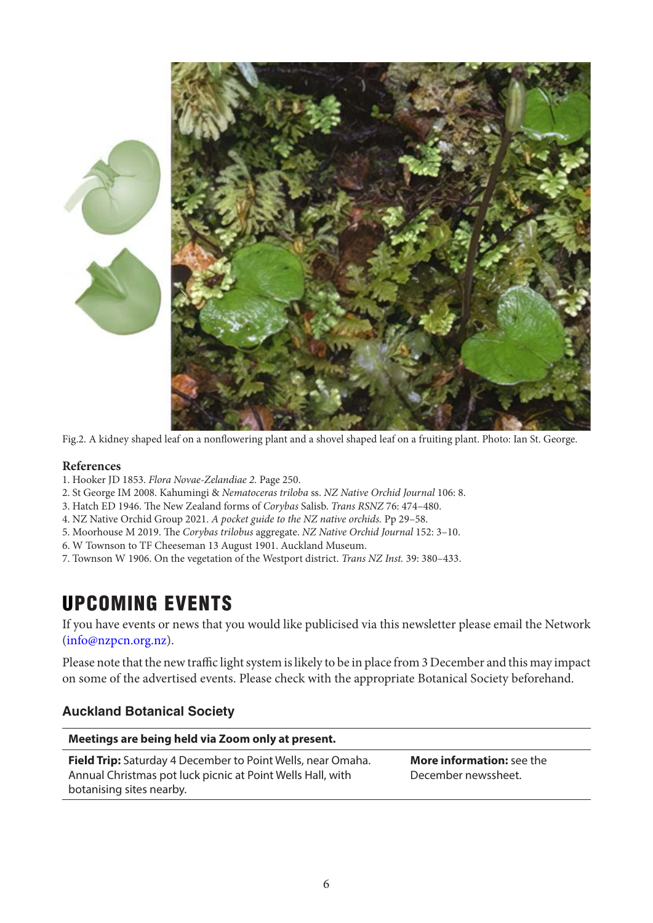



Fig.2. A kidney shaped leaf on a nonflowering plant and a shovel shaped leaf on a fruiting plant. Photo: Ian St. George.

#### **References**

- 1. Hooker JD 1853. *Flora Novae-Zelandiae 2.* Page 250.
- 2. St George IM 2008. Kahumingi & *Nematoceras triloba* ss. *NZ Native Orchid Journal* 106: 8.
- 3. Hatch ED 1946. The New Zealand forms of *Corybas* Salisb. *Trans RSNZ* 76: 474–480.
- 4. NZ Native Orchid Group 2021. *A pocket guide to the NZ native orchids.* Pp 29–58.
- 5. Moorhouse M 2019. The *Corybas trilobus* aggregate. *NZ Native Orchid Journal* 152: 3–10.
- 6. W Townson to TF Cheeseman 13 August 1901. Auckland Museum.
- 7. Townson W 1906. On the vegetation of the Westport district. *Trans NZ Inst.* 39: 380–433.

# UPCOMING EVENTS

If you have events or news that you would like publicised via this newsletter please email the Network ([info@nzpcn.org.nz\)](mailto:info@nzpcn.org.nz).

Please note that the new traffic light system is likely to be in place from 3 December and this may impact on some of the advertised events. Please check with the appropriate Botanical Society beforehand.

#### **Auckland Botanical Society**

| Meetings are being held via Zoom only at present.                                                                                                            |                                                         |
|--------------------------------------------------------------------------------------------------------------------------------------------------------------|---------------------------------------------------------|
| <b>Field Trip:</b> Saturday 4 December to Point Wells, near Omaha.<br>Annual Christmas pot luck picnic at Point Wells Hall, with<br>botanising sites nearby. | <b>More information:</b> see the<br>December newssheet. |